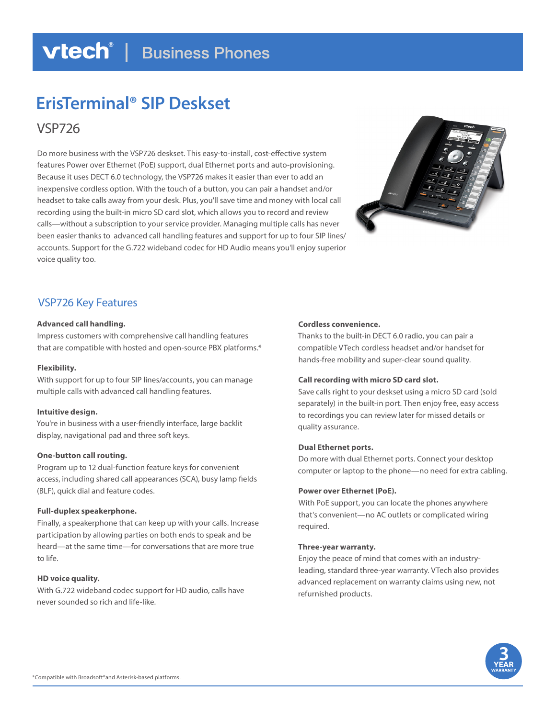## **vtech**<sup>®</sup> | Business Phones

# **ErisTerminal® SIP Deskset**

VSP726

Do more business with the VSP726 deskset. This easy-to-install, cost-effective system features Power over Ethernet (PoE) support, dual Ethernet ports and auto-provisioning. Because it uses DECT 6.0 technology, the VSP726 makes it easier than ever to add an inexpensive cordless option. With the touch of a button, you can pair a handset and/or headset to take calls away from your desk. Plus, you'll save time and money with local call recording using the built-in micro SD card slot, which allows you to record and review calls—without a subscription to your service provider. Managing multiple calls has never been easier thanks to advanced call handling features and support for up to four SIP lines/ accounts. Support for the G.722 wideband codec for HD Audio means you'll enjoy superior voice quality too.



### VSP726 Key Features

### **Advanced call handling.**

Impress customers with comprehensive call handling features that are compatible with hosted and open-source PBX platforms.\*

### **Flexibility.**

With support for up to four SIP lines/accounts, you can manage multiple calls with advanced call handling features.

### **Intuitive design.**

You're in business with a user-friendly interface, large backlit display, navigational pad and three soft keys.

### **One-button call routing.**

Program up to 12 dual-function feature keys for convenient access, including shared call appearances (SCA), busy lamp fields (BLF), quick dial and feature codes.

### **Full-duplex speakerphone.**

Finally, a speakerphone that can keep up with your calls. Increase participation by allowing parties on both ends to speak and be heard—at the same time—for conversations that are more true to life.

### **HD voice quality.**

With G.722 wideband codec support for HD audio, calls have never sounded so rich and life-like.

### **Cordless convenience.**

Thanks to the built-in DECT 6.0 radio, you can pair a compatible VTech cordless headset and/or handset for hands-free mobility and super-clear sound quality.

### **Call recording with micro SD card slot.**

Save calls right to your deskset using a micro SD card (sold separately) in the built-in port. Then enjoy free, easy access to recordings you can review later for missed details or quality assurance.

### **Dual Ethernet ports.**

Do more with dual Ethernet ports. Connect your desktop computer or laptop to the phone—no need for extra cabling.

### **Power over Ethernet (PoE).**

With PoE support, you can locate the phones anywhere that's convenient—no AC outlets or complicated wiring required.

### **Three-year warranty.**

Enjoy the peace of mind that comes with an industryleading, standard three-year warranty. VTech also provides advanced replacement on warranty claims using new, not refurnished products.